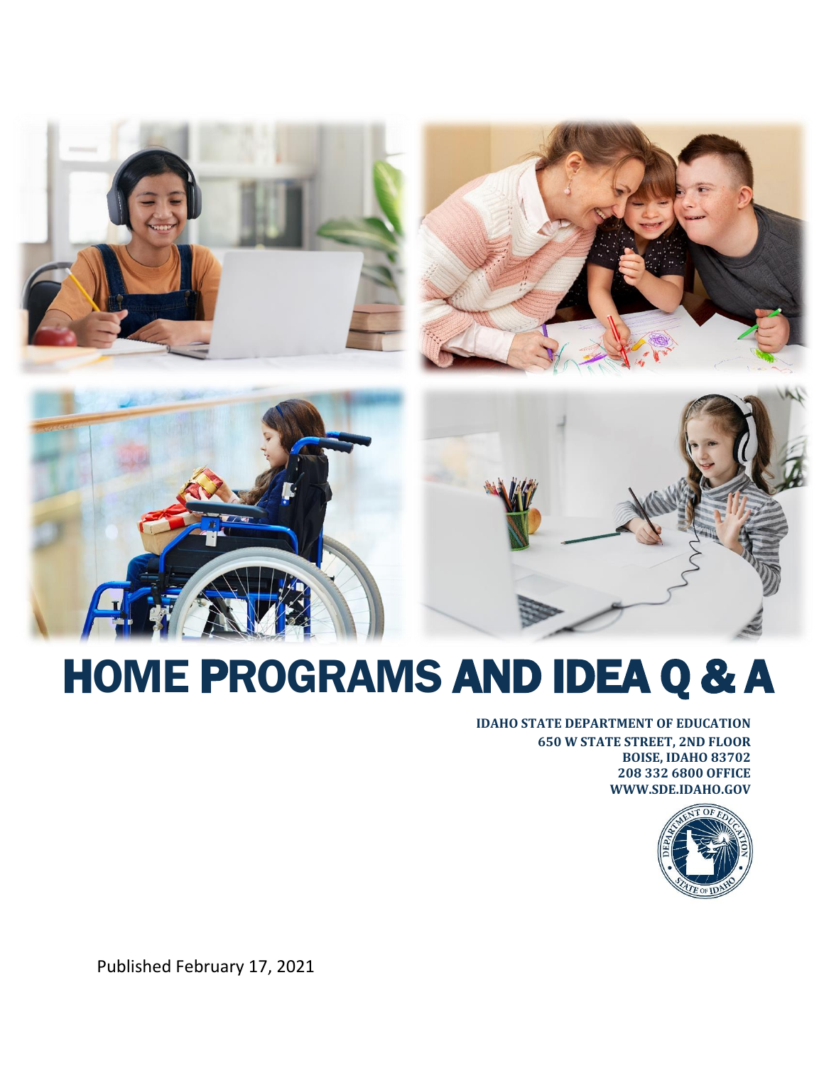







# HOME PROGRAMS AND IDEA Q & A

#### **IDAHO STATE DEPARTMENT OF EDUCATION**

**650 W STATE STREET, 2ND FLOOR BOISE, IDAHO 83702 208 332 6800 OFFICE WWW.SDE.IDAHO.GOV**



Published February 17, 2021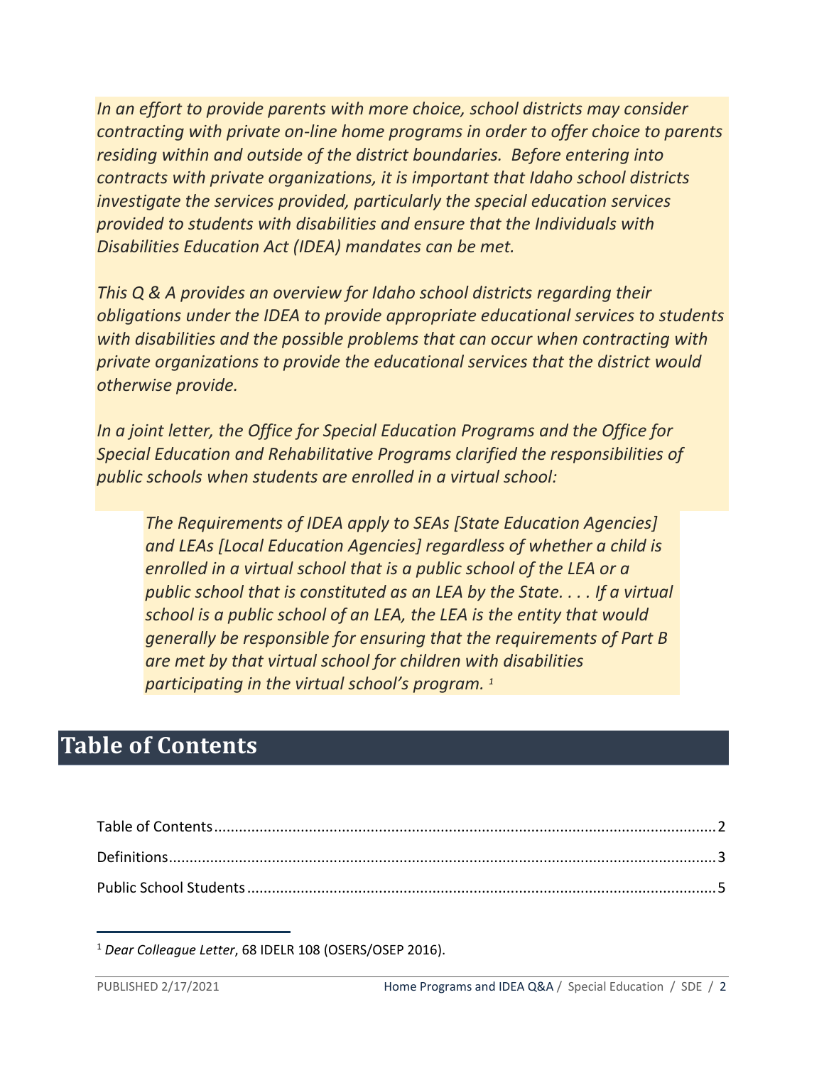*In an effort to provide parents with more choice, school districts may consider contracting with private on-line home programs in order to offer choice to parents residing within and outside of the district boundaries. Before entering into contracts with private organizations, it is important that Idaho school districts investigate the services provided, particularly the special education services provided to students with disabilities and ensure that the Individuals with Disabilities Education Act (IDEA) mandates can be met.*

*This Q & A provides an overview for Idaho school districts regarding their obligations under the IDEA to provide appropriate educational services to students with disabilities and the possible problems that can occur when contracting with private organizations to provide the educational services that the district would otherwise provide.*

*In a joint letter, the Office for Special Education Programs and the Office for Special Education and Rehabilitative Programs clarified the responsibilities of public schools when students are enrolled in a virtual school:*

*The Requirements of IDEA apply to SEAs [State Education Agencies] and LEAs [Local Education Agencies] regardless of whether a child is enrolled in a virtual school that is a public school of the LEA or a public school that is constituted as an LEA by the State. . . . If a virtual school is a public school of an LEA, the LEA is the entity that would generally be responsible for ensuring that the requirements of Part B are met by that virtual school for children with disabilities participating in the virtual school's program. <sup>1</sup>*

# <span id="page-1-0"></span>**Table of Contents**

<sup>1</sup> *Dear Colleague Letter*, 68 IDELR 108 (OSERS/OSEP 2016).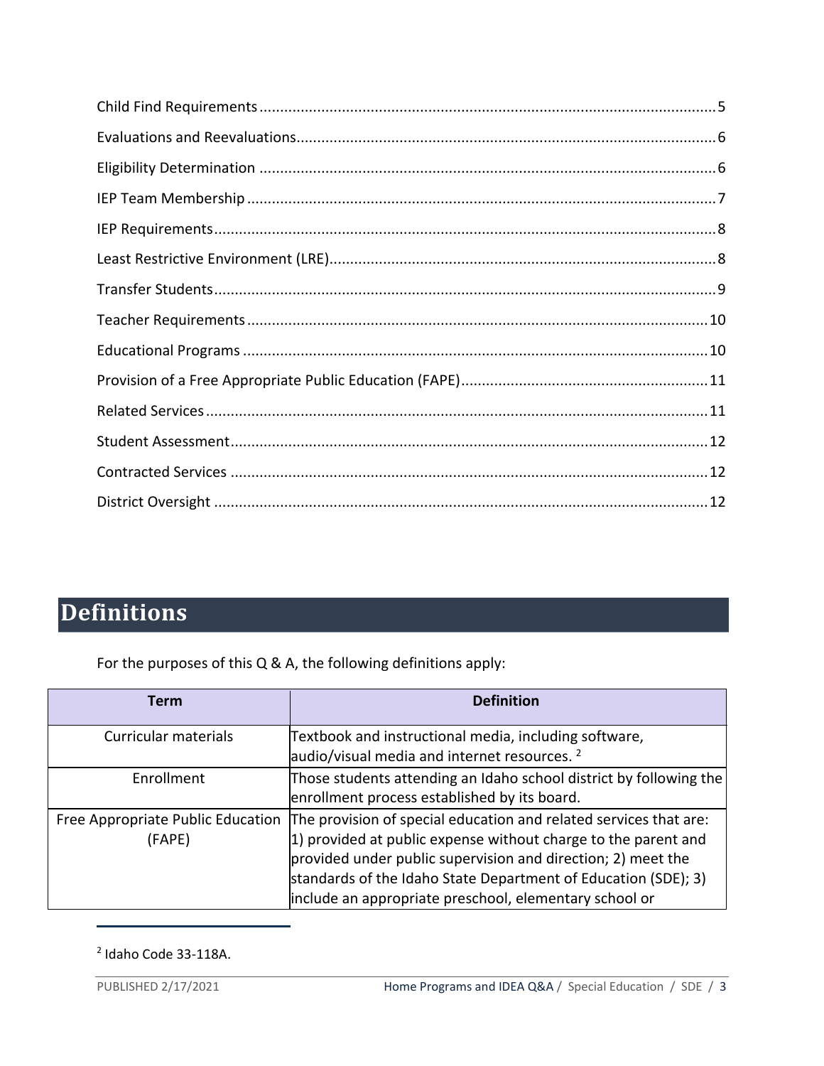# <span id="page-2-0"></span>**Definitions**

For the purposes of this Q & A, the following definitions apply:

| Term                                        | <b>Definition</b>                                                                                                                                                                                                                                                                                                               |
|---------------------------------------------|---------------------------------------------------------------------------------------------------------------------------------------------------------------------------------------------------------------------------------------------------------------------------------------------------------------------------------|
| Curricular materials                        | Textbook and instructional media, including software,<br>audio/visual media and internet resources. <sup>2</sup>                                                                                                                                                                                                                |
| Enrollment                                  | Those students attending an Idaho school district by following the<br>enrollment process established by its board.                                                                                                                                                                                                              |
| Free Appropriate Public Education<br>(FAPE) | The provision of special education and related services that are:<br>1) provided at public expense without charge to the parent and<br>provided under public supervision and direction; 2) meet the<br>standards of the Idaho State Department of Education (SDE); 3)<br>include an appropriate preschool, elementary school or |

<sup>2</sup> Idaho Code 33-118A.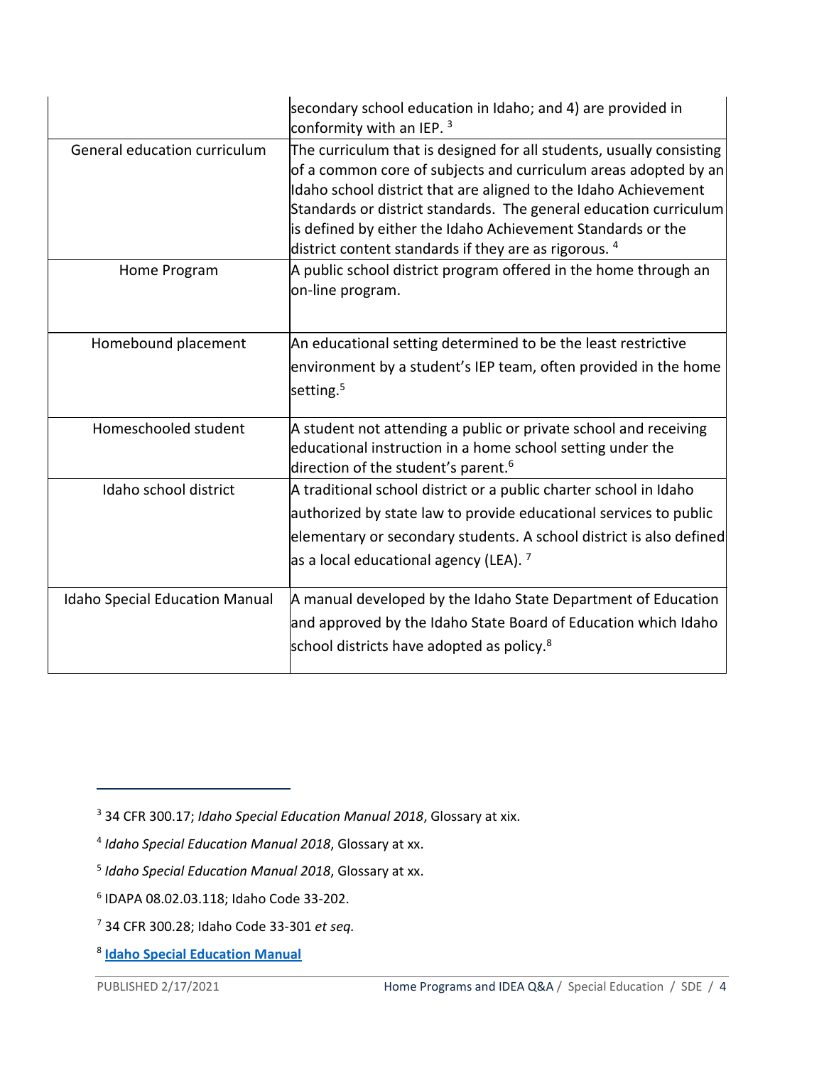|                                       | secondary school education in Idaho; and 4) are provided in<br>conformity with an IEP. 3                                                                                                                                                                                                                                                                                                                           |
|---------------------------------------|--------------------------------------------------------------------------------------------------------------------------------------------------------------------------------------------------------------------------------------------------------------------------------------------------------------------------------------------------------------------------------------------------------------------|
| General education curriculum          | The curriculum that is designed for all students, usually consisting<br>of a common core of subjects and curriculum areas adopted by an<br>Idaho school district that are aligned to the Idaho Achievement<br>Standards or district standards. The general education curriculum<br>is defined by either the Idaho Achievement Standards or the<br>district content standards if they are as rigorous. <sup>4</sup> |
| Home Program                          | A public school district program offered in the home through an<br>on-line program.                                                                                                                                                                                                                                                                                                                                |
| Homebound placement                   | An educational setting determined to be the least restrictive<br>environment by a student's IEP team, often provided in the home<br>setting. <sup>5</sup>                                                                                                                                                                                                                                                          |
| Homeschooled student                  | A student not attending a public or private school and receiving<br>educational instruction in a home school setting under the<br>direction of the student's parent. <sup>6</sup>                                                                                                                                                                                                                                  |
| Idaho school district                 | A traditional school district or a public charter school in Idaho<br>authorized by state law to provide educational services to public<br>elementary or secondary students. A school district is also defined<br>as a local educational agency (LEA). <sup>7</sup>                                                                                                                                                 |
| <b>Idaho Special Education Manual</b> | A manual developed by the Idaho State Department of Education<br>and approved by the Idaho State Board of Education which Idaho<br>school districts have adopted as policy. <sup>8</sup>                                                                                                                                                                                                                           |

<sup>3</sup> 34 CFR 300.17; *Idaho Special Education Manual 2018*, Glossary at xix.

<sup>4</sup> *Idaho Special Education Manual 2018*, Glossary at xx.

<sup>5</sup> *Idaho Special Education Manual 2018*, Glossary at xx.

<sup>6</sup> IDAPA 08.02.03.118; Idaho Code 33-202.

<sup>7</sup> 34 CFR 300.28; Idaho Code 33-301 *et seq.*

<sup>8</sup> **[Idaho Special Education Manual](https://sde.idaho.gov/sped/files/shared/Idaho-Special-Education-Manual-2018-Final.pdf)**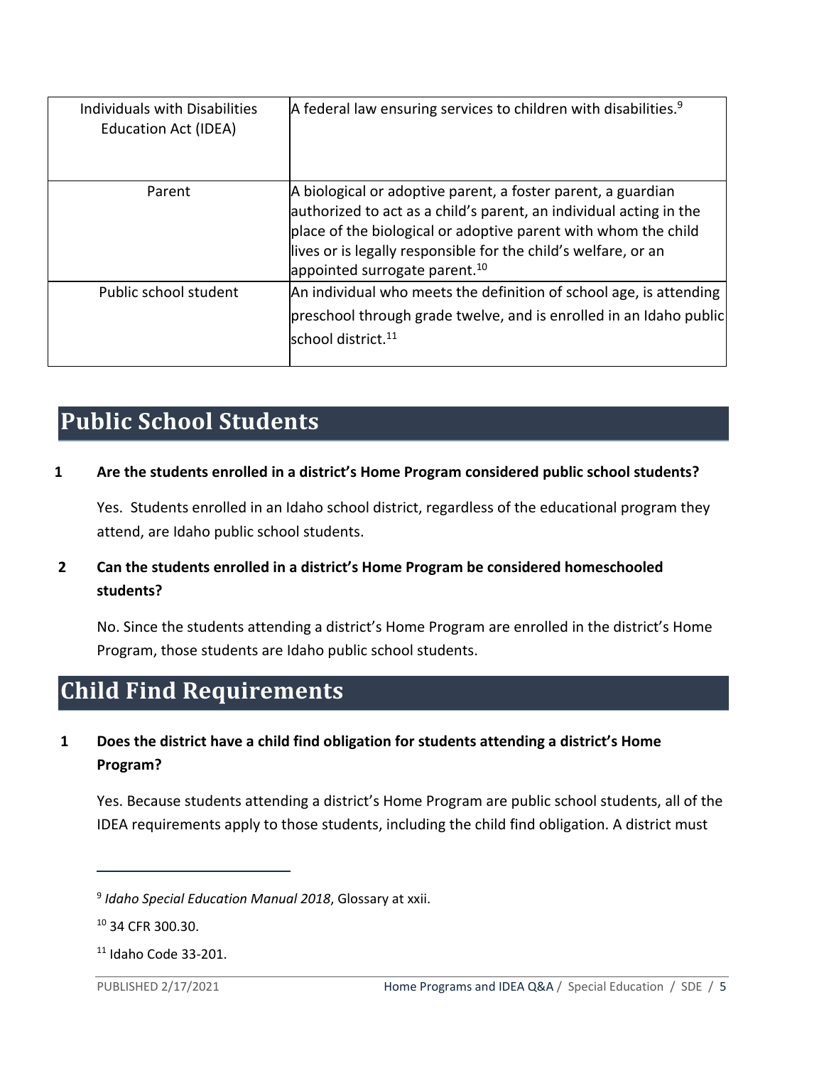| Individuals with Disabilities<br><b>Education Act (IDEA)</b> | $A$ federal law ensuring services to children with disabilities. <sup>9</sup>                                                                                                                                                                                                                                       |
|--------------------------------------------------------------|---------------------------------------------------------------------------------------------------------------------------------------------------------------------------------------------------------------------------------------------------------------------------------------------------------------------|
| Parent                                                       | A biological or adoptive parent, a foster parent, a guardian<br>authorized to act as a child's parent, an individual acting in the<br>place of the biological or adoptive parent with whom the child<br>lives or is legally responsible for the child's welfare, or an<br>appointed surrogate parent. <sup>10</sup> |
| Public school student                                        | An individual who meets the definition of school age, is attending<br>preschool through grade twelve, and is enrolled in an Idaho public<br>school district. <sup>11</sup>                                                                                                                                          |

# <span id="page-4-0"></span>**Public School Students**

#### **1 Are the students enrolled in a district's Home Program considered public school students?**

Yes. Students enrolled in an Idaho school district, regardless of the educational program they attend, are Idaho public school students.

#### **2 Can the students enrolled in a district's Home Program be considered homeschooled students?**

No. Since the students attending a district's Home Program are enrolled in the district's Home Program, those students are Idaho public school students.

# <span id="page-4-1"></span>**Child Find Requirements**

#### **1 Does the district have a child find obligation for students attending a district's Home Program?**

Yes. Because students attending a district's Home Program are public school students, all of the IDEA requirements apply to those students, including the child find obligation. A district must

<sup>9</sup> *Idaho Special Education Manual 2018*, Glossary at xxii.

<sup>10</sup> 34 CFR 300.30.

 $11$  Idaho Code 33-201.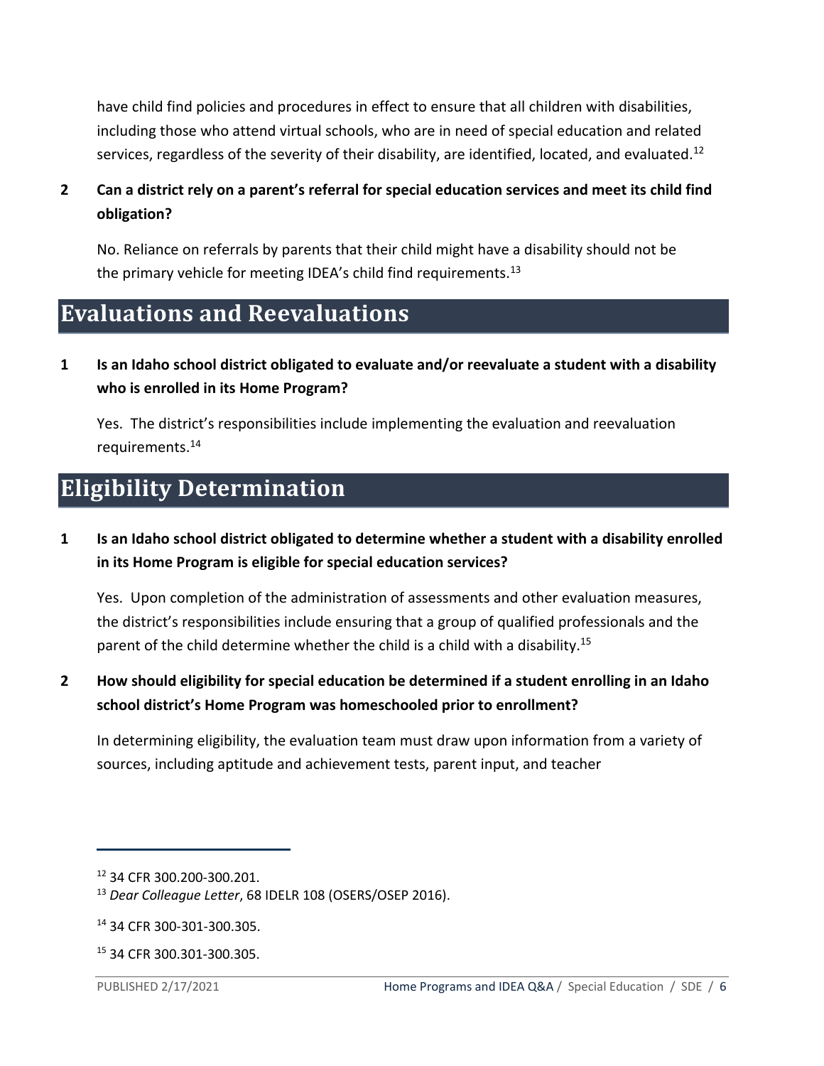have child find policies and procedures in effect to ensure that all children with disabilities, including those who attend virtual schools, who are in need of special education and related services, regardless of the severity of their disability, are identified, located, and evaluated.<sup>12</sup>

#### **2 Can a district rely on a parent's referral for special education services and meet its child find obligation?**

No. Reliance on referrals by parents that their child might have a disability should not be the primary vehicle for meeting IDEA's child find requirements.<sup>13</sup>

### <span id="page-5-0"></span>**Evaluations and Reevaluations**

**1 Is an Idaho school district obligated to evaluate and/or reevaluate a student with a disability who is enrolled in its Home Program?**

Yes. The district's responsibilities include implementing the evaluation and reevaluation requirements.<sup>14</sup>

# <span id="page-5-1"></span>**Eligibility Determination**

**1 Is an Idaho school district obligated to determine whether a student with a disability enrolled in its Home Program is eligible for special education services?**

Yes. Upon completion of the administration of assessments and other evaluation measures, the district's responsibilities include ensuring that a group of qualified professionals and the parent of the child determine whether the child is a child with a disability.<sup>15</sup>

**2 How should eligibility for special education be determined if a student enrolling in an Idaho school district's Home Program was homeschooled prior to enrollment?**

In determining eligibility, the evaluation team must draw upon information from a variety of sources, including aptitude and achievement tests, parent input, and teacher

<sup>12</sup> 34 CFR 300.200-300.201.

<sup>13</sup> *Dear Colleague Letter*, 68 IDELR 108 (OSERS/OSEP 2016).

<sup>14</sup> 34 CFR 300-301-300.305.

<sup>15</sup> 34 CFR 300.301-300.305.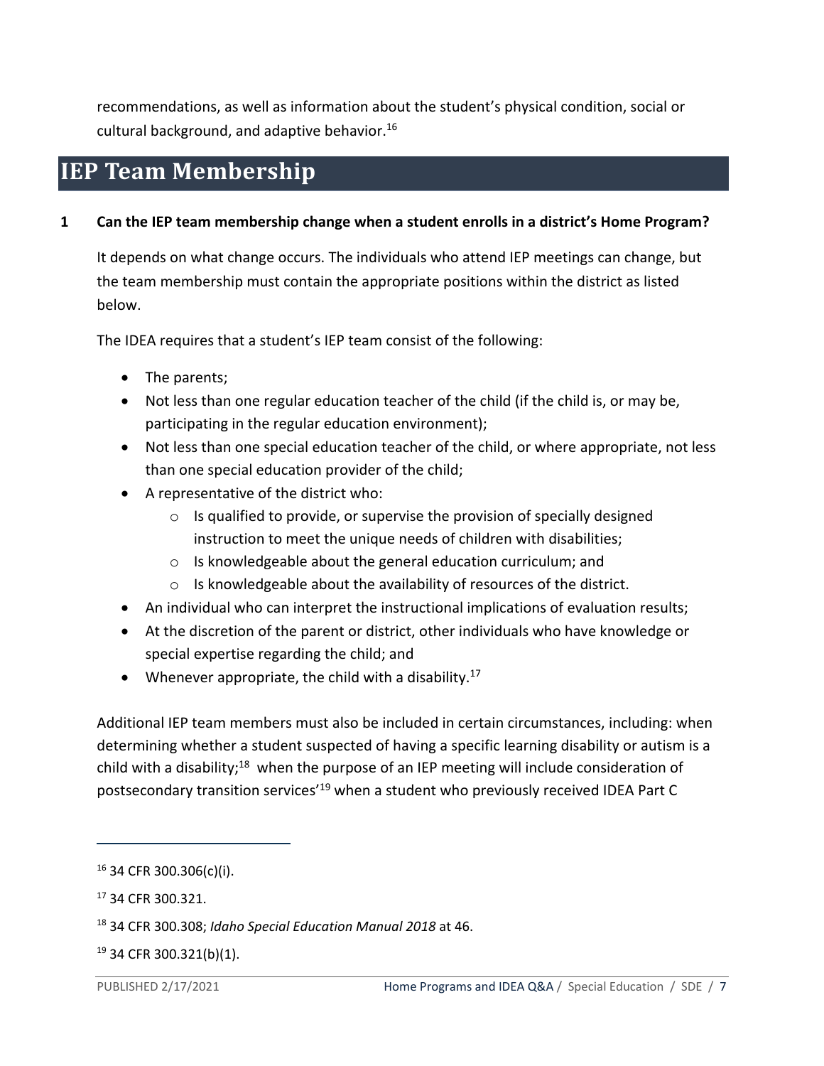recommendations, as well as information about the student's physical condition, social or cultural background, and adaptive behavior.<sup>16</sup>

## <span id="page-6-0"></span>**IEP Team Membership**

#### **1 Can the IEP team membership change when a student enrolls in a district's Home Program?**

It depends on what change occurs. The individuals who attend IEP meetings can change, but the team membership must contain the appropriate positions within the district as listed below.

The IDEA requires that a student's IEP team consist of the following:

- The parents;
- Not less than one regular education teacher of the child (if the child is, or may be, participating in the regular education environment);
- Not less than one special education teacher of the child, or where appropriate, not less than one special education provider of the child;
- A representative of the district who:
	- $\circ$  Is qualified to provide, or supervise the provision of specially designed instruction to meet the unique needs of children with disabilities;
	- o Is knowledgeable about the general education curriculum; and
	- o Is knowledgeable about the availability of resources of the district.
- An individual who can interpret the instructional implications of evaluation results;
- At the discretion of the parent or district, other individuals who have knowledge or special expertise regarding the child; and
- Whenever appropriate, the child with a disability.<sup>17</sup>

Additional IEP team members must also be included in certain circumstances, including: when determining whether a student suspected of having a specific learning disability or autism is a child with a disability;<sup>18</sup> when the purpose of an IEP meeting will include consideration of postsecondary transition services<sup>'19</sup> when a student who previously received IDEA Part C

 $16$  34 CFR 300.306(c)(i).

<sup>17</sup> 34 CFR 300.321.

<sup>18</sup> 34 CFR 300.308; *Idaho Special Education Manual 2018* at 46.

<sup>19</sup> 34 CFR 300.321(b)(1).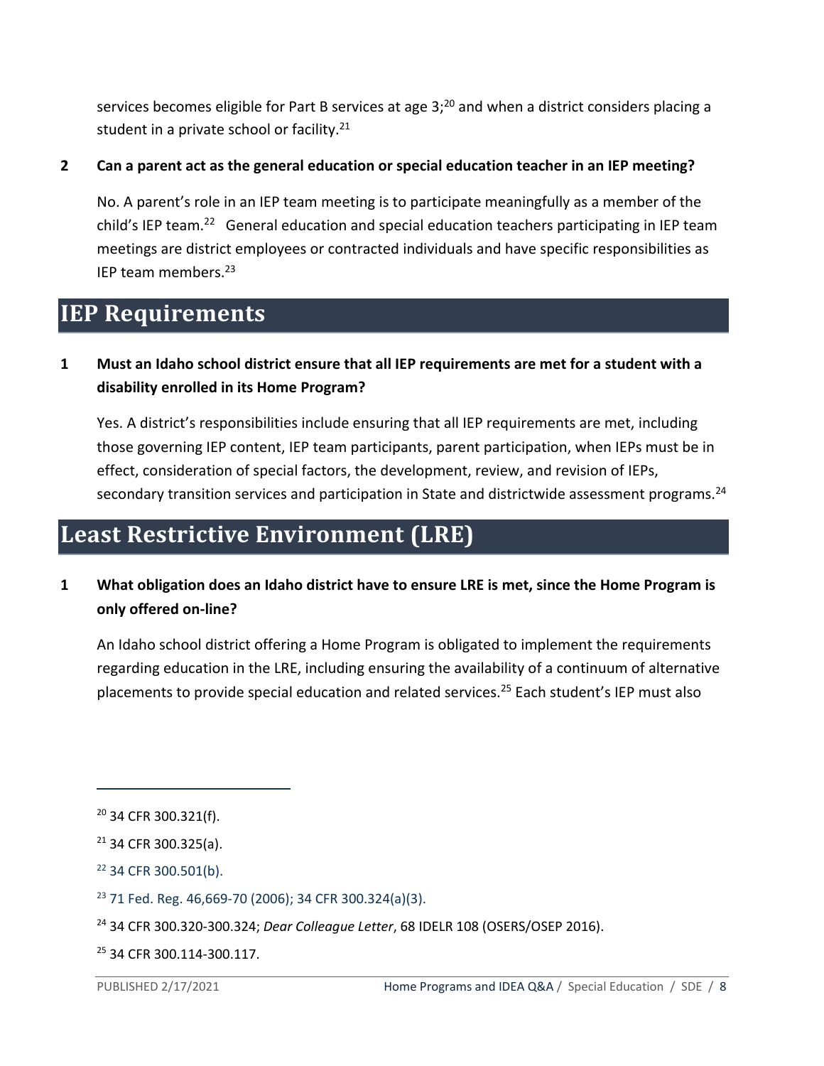services becomes eligible for Part B services at age 3;<sup>20</sup> and when a district considers placing a student in a private school or facility.<sup>21</sup>

#### **2 Can a parent act as the general education or special education teacher in an IEP meeting?**

No. A parent's role in an IEP team meeting is to participate meaningfully as a member of the child's IEP team.<sup>22</sup> General education and special education teachers participating in IEP team meetings are district employees or contracted individuals and have specific responsibilities as IEP team members.<sup>23</sup>

### <span id="page-7-0"></span>**IEP Requirements**

#### **1 Must an Idaho school district ensure that all IEP requirements are met for a student with a disability enrolled in its Home Program?**

Yes. A district's responsibilities include ensuring that all IEP requirements are met, including those governing IEP content, IEP team participants, parent participation, when IEPs must be in effect, consideration of special factors, the development, review, and revision of IEPs, secondary transition services and participation in State and districtwide assessment programs.<sup>24</sup>

### <span id="page-7-1"></span>**Least Restrictive Environment (LRE)**

#### **1 What obligation does an Idaho district have to ensure LRE is met, since the Home Program is only offered on-line?**

An Idaho school district offering a Home Program is obligated to implement the requirements regarding education in the LRE, including ensuring the availability of a continuum of alternative placements to provide special education and related services.<sup>25</sup> Each student's IEP must also

<sup>25</sup> 34 CFR 300.114-300.117.

<sup>20</sup> 34 CFR 300.321(f).

 $21$  34 CFR 300.325(a).

<sup>22</sup> 34 CFR 300.501(b).

 $23$  71 Fed. Reg. 46,669-70 (2006); 34 CFR 300.324(a)(3).

<sup>24</sup> 34 CFR 300.320-300.324; *Dear Colleague Letter*, 68 IDELR 108 (OSERS/OSEP 2016).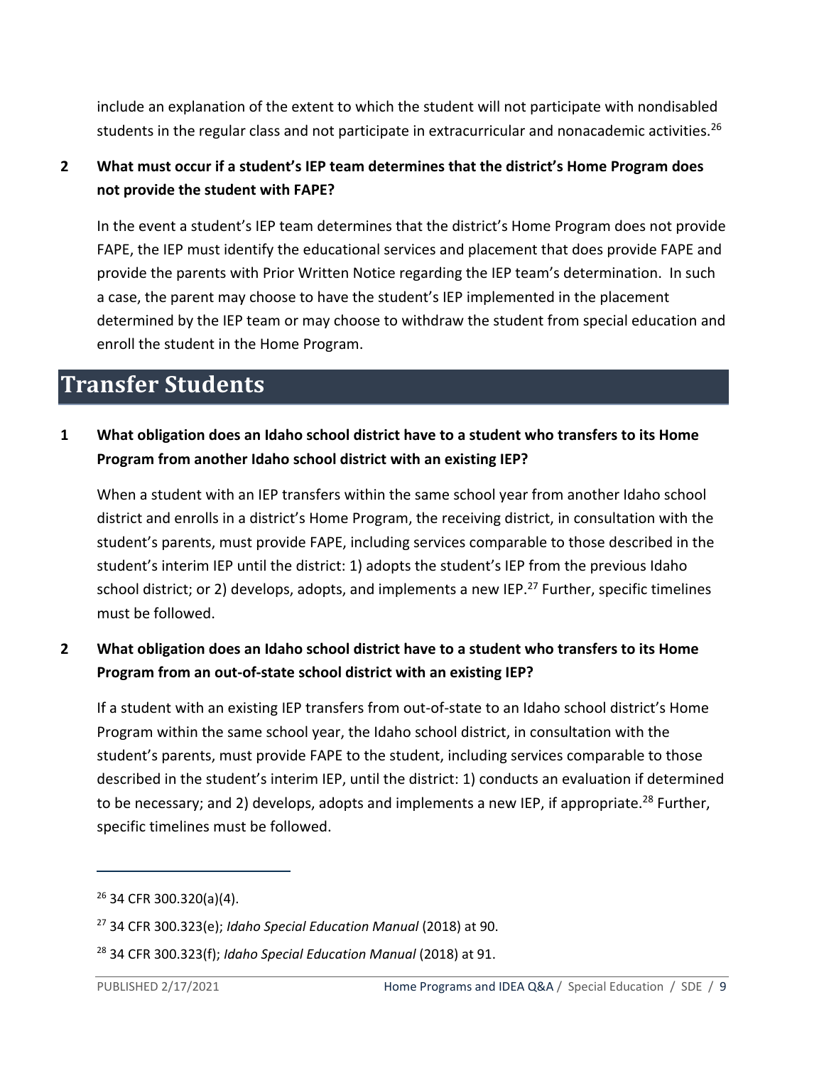include an explanation of the extent to which the student will not participate with nondisabled students in the regular class and not participate in extracurricular and nonacademic activities.<sup>26</sup>

#### **2 What must occur if a student's IEP team determines that the district's Home Program does not provide the student with FAPE?**

In the event a student's IEP team determines that the district's Home Program does not provide FAPE, the IEP must identify the educational services and placement that does provide FAPE and provide the parents with Prior Written Notice regarding the IEP team's determination. In such a case, the parent may choose to have the student's IEP implemented in the placement determined by the IEP team or may choose to withdraw the student from special education and enroll the student in the Home Program.

### <span id="page-8-0"></span>**Transfer Students**

#### **1 What obligation does an Idaho school district have to a student who transfers to its Home Program from another Idaho school district with an existing IEP?**

When a student with an IEP transfers within the same school year from another Idaho school district and enrolls in a district's Home Program, the receiving district, in consultation with the student's parents, must provide FAPE, including services comparable to those described in the student's interim IEP until the district: 1) adopts the student's IEP from the previous Idaho school district; or 2) develops, adopts, and implements a new IEP.<sup>27</sup> Further, specific timelines must be followed.

#### **2 What obligation does an Idaho school district have to a student who transfers to its Home Program from an out-of-state school district with an existing IEP?**

If a student with an existing IEP transfers from out-of-state to an Idaho school district's Home Program within the same school year, the Idaho school district, in consultation with the student's parents, must provide FAPE to the student, including services comparable to those described in the student's interim IEP, until the district: 1) conducts an evaluation if determined to be necessary; and 2) develops, adopts and implements a new IEP, if appropriate.<sup>28</sup> Further, specific timelines must be followed.

<sup>26</sup> 34 CFR 300.320(a)(4).

<sup>27</sup> 34 CFR 300.323(e); *Idaho Special Education Manual* (2018) at 90.

<sup>28</sup> 34 CFR 300.323(f); *Idaho Special Education Manual* (2018) at 91.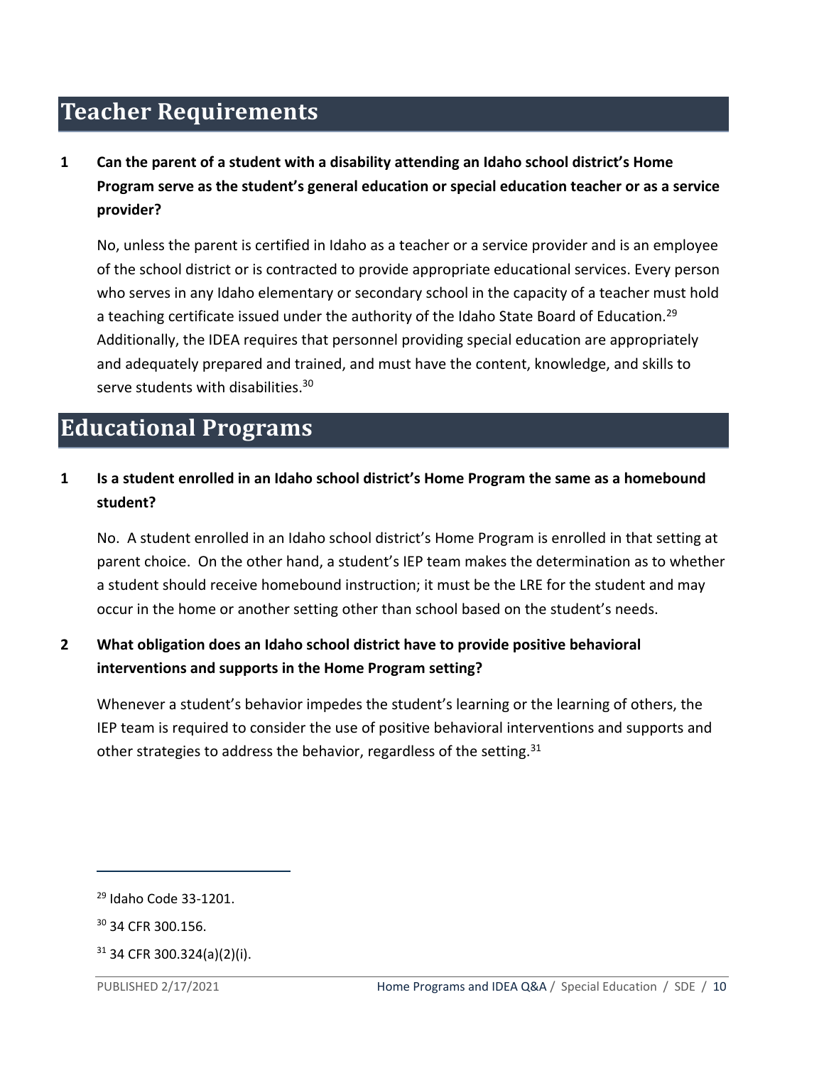# <span id="page-9-0"></span>**Teacher Requirements**

**1 Can the parent of a student with a disability attending an Idaho school district's Home Program serve as the student's general education or special education teacher or as a service provider?**

No, unless the parent is certified in Idaho as a teacher or a service provider and is an employee of the school district or is contracted to provide appropriate educational services. Every person who serves in any Idaho elementary or secondary school in the capacity of a teacher must hold a teaching certificate issued under the authority of the Idaho State Board of Education.<sup>29</sup> Additionally, the IDEA requires that personnel providing special education are appropriately and adequately prepared and trained, and must have the content, knowledge, and skills to serve students with disabilities.<sup>30</sup>

### <span id="page-9-1"></span>**Educational Programs**

#### **1 Is a student enrolled in an Idaho school district's Home Program the same as a homebound student?**

No. A student enrolled in an Idaho school district's Home Program is enrolled in that setting at parent choice. On the other hand, a student's IEP team makes the determination as to whether a student should receive homebound instruction; it must be the LRE for the student and may occur in the home or another setting other than school based on the student's needs.

#### **2 What obligation does an Idaho school district have to provide positive behavioral interventions and supports in the Home Program setting?**

Whenever a student's behavior impedes the student's learning or the learning of others, the IEP team is required to consider the use of positive behavioral interventions and supports and other strategies to address the behavior, regardless of the setting.  $31$ 

<sup>29</sup> Idaho Code 33-1201.

<sup>30</sup> 34 CFR 300.156.

 $31$  34 CFR 300.324(a)(2)(i).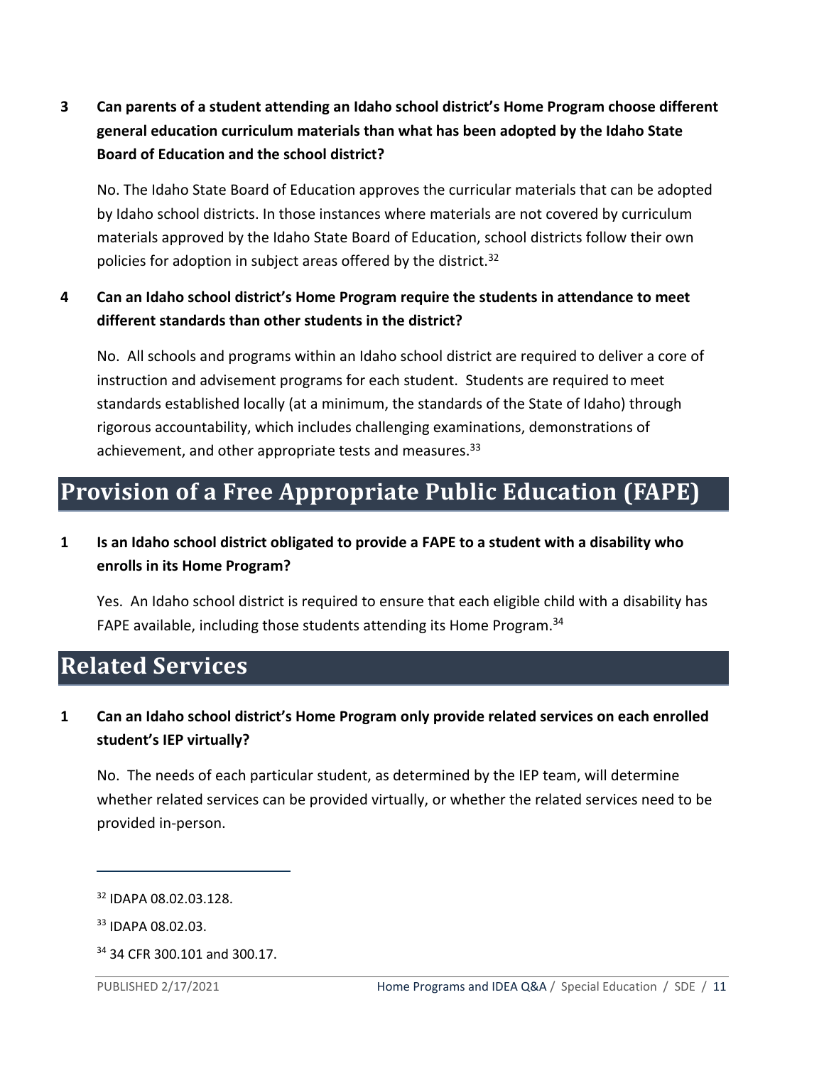**3 Can parents of a student attending an Idaho school district's Home Program choose different general education curriculum materials than what has been adopted by the Idaho State Board of Education and the school district?**

No. The Idaho State Board of Education approves the curricular materials that can be adopted by Idaho school districts. In those instances where materials are not covered by curriculum materials approved by the Idaho State Board of Education, school districts follow their own policies for adoption in subject areas offered by the district.<sup>32</sup>

#### **4 Can an Idaho school district's Home Program require the students in attendance to meet different standards than other students in the district?**

No. All schools and programs within an Idaho school district are required to deliver a core of instruction and advisement programs for each student. Students are required to meet standards established locally (at a minimum, the standards of the State of Idaho) through rigorous accountability, which includes challenging examinations, demonstrations of achievement, and other appropriate tests and measures.<sup>33</sup>

# <span id="page-10-0"></span>**Provision of a Free Appropriate Public Education (FAPE)**

**1 Is an Idaho school district obligated to provide a FAPE to a student with a disability who enrolls in its Home Program?**

Yes. An Idaho school district is required to ensure that each eligible child with a disability has FAPE available, including those students attending its Home Program.<sup>34</sup>

### <span id="page-10-1"></span>**Related Services**

**1 Can an Idaho school district's Home Program only provide related services on each enrolled student's IEP virtually?**

No. The needs of each particular student, as determined by the IEP team, will determine whether related services can be provided virtually, or whether the related services need to be provided in-person.

<sup>32</sup> IDAPA 08.02.03.128.

<sup>33</sup> IDAPA 08.02.03.

<sup>34</sup> 34 CFR 300.101 and 300.17.